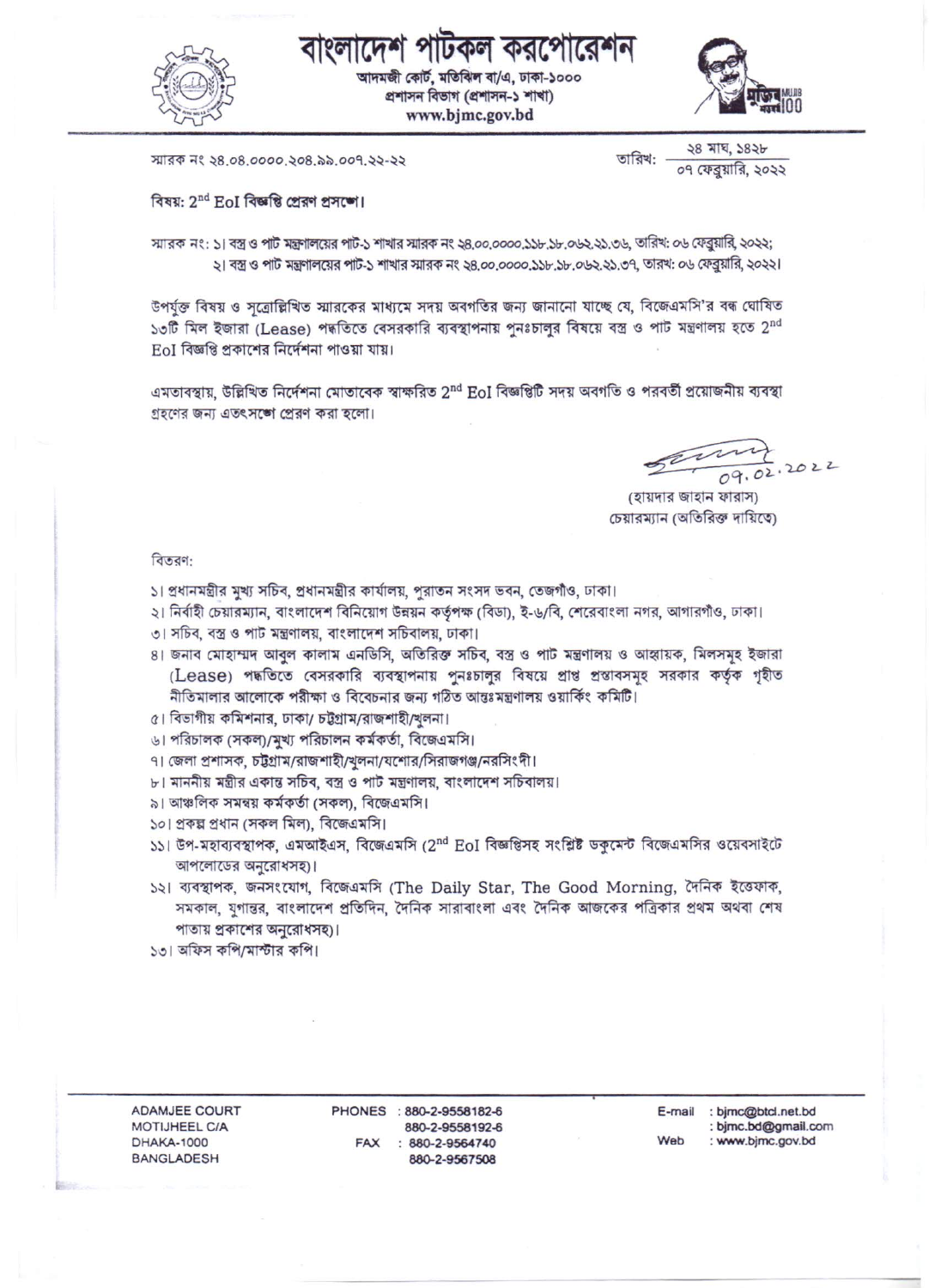



আদমজী কোর্ট, মতিঝিল বা/এ, ঢাকা-১০০০ প্ৰশাসন বিভাগ (প্ৰশাসন-১ শাখা) www.bjmc.gov.bd



স্মারক নং ২৪.০৪.০০০০.২০৪.৯৯.০০৭.২২-২২

২৪ মাঘ, ১৪২৮ তারিখ: ০৭ ফেব্রয়ারি, ২০২২

বিষয়: 2<sup>nd</sup> EoI বিজ্ঞতি প্ৰেরণ প্রসঙ্গে।

স্মারক নং: ১। বস্ত্র ও পার্ট মন্ত্রণালয়ের পার্ট-১ শাখার স্মারক নং ২৪,০০,০০০০,১১৮,১৮,০৬২,২১,৩৬, তারিখ: ০৬ ফেব্রুয়ারি, ২০২২; ২। বস্ত্র ও পাট মন্ত্রণালয়ের পাট-১ শাখার স্মারক নং ২৪.০০.০০০০.১১৮.১৮.০৬২.২১.৩৭, তারখ: ০৬ ফেব্রুয়ারি, ২০২২।

উপর্যুক্ত বিষয় ও সূত্রোল্লিখিত স্মারকের মাধ্যমে সদয় অবগতির জন্য জানানো যাচ্ছে যে, বিজেএমসি'র বন্ধ ঘোষিত ১৩টি মিল ইজারা (Lease) পদ্ধতিতে বেসরকারি ব্যবস্থাপনায় পুনঃচালুর বিষয়ে বস্ত্র ও পাট মন্ত্রণালয় হতে 2<sup>nd</sup> **EoI বিজ্ঞপ্তি প্রকাশের নির্দেশনা পাওয়া যায়।** 

এমতাবস্থায়, উল্লিখিত নির্দেশনা মোতাবেক স্বাক্ষরিত 2nd EoI বিজ্ঞপ্তিটি সদয় অবগতি ও পরবর্তী প্রয়োজনীয় ব্যবস্থা গ্রহণের জন্য এতৎসঙ্গে প্রেরণ করা হলো।

 $\frac{224}{09.02.2022}$ 

(হায়দার জাহান ফারাস) চেয়ারম্যান (অতিরিক্ত দায়িতে)

বিতরণ:

- ১। প্রধানমন্ত্রীর মুখ্য সচিব, প্রধানমন্ত্রীর কার্যালয়, পরাতন সংসদ ভবন, তেজগাঁও, ঢাকা।
- ২। নির্বাহী চেয়ারম্যান, বাংলাদেশ বিনিয়োগ উন্নয়ন কর্তৃপক্ষ (বিডা), ই-৬/বি, শেরেবাংলা নগর, আগারগাঁও, ঢাকা।
- ৩। সচিব, বস্ত্র ও পার্ট মন্ত্রণালয়, বাংলাদেশ সচিবালয়, ঢাকা।
- 8। জনাব মোহাম্মদ আবুল কালাম এনডিসি, অতিরিক্ত সচিব, বস্ত্র ও পাট মন্ত্রণালয় ও আহ্বায়ক, মিলসমূহ ইজারা (Lease) পদ্ধতিতে বেসরকারি ব্যবস্থাপনায় পুনঃচালুর বিষয়ে প্রাপ্ত প্রস্তাবসমূহ সরকার কর্তৃক গৃহীত নীতিমালার আলোকে পরীক্ষা ও বিবেচনার জন্য গঠিত আন্তঃমন্ত্রণালয় ওয়ার্কিং কমিটি।
- ৫। বিভাগীয় কমিশনার, ঢাকা/ চট্টগ্রাম/রাজশাহী/খুলনা।
- ৬। পরিচালক (সকল)/মুখ্য পরিচালন কর্মকর্তা, বিজেএমসি।
- ৭। জেলা প্রশাসক, চট্টগ্রাম/রাজশাহী/খুলনা/যশোর/সিরাজগঞ্জ/নরসিংদী।
- ৮। মাননীয় মন্ত্রীর একান্ত সচিব, বস্ত্র ও পার্ট মন্ত্রণালয়, বাংলাদেশ সচিবালয়।
- ৯। আঞ্চলিক সমন্বয় কর্মকর্তা (সকল), বিজেএমসি।
- ১০। প্রকল্প প্রধান (সকল মিল), বিজেএমসি।
- ১১। উপ-মহাব্যবস্থাপক, এমআইএস, বিজেএমসি (2<sup>nd</sup> EoI বিজ্ঞপ্তিসহ সংশ্লিষ্ট ডকুমেন্ট বিজেএমসির ওয়েবসাইটে আপলোডের অনুরোধসহ)।
- ১২। ব্যবস্থাপক, জনসংযোগ, বিজেএমসি (The Daily Star, The Good Morning, দৈনিক ইত্তেফাক, সমকাল, যুগান্তর, বাংলাদেশ প্রতিদিন, দৈনিক সারাবাংলা এবং দৈনিক আজকের পত্রিকার প্রথম অথবা শেষ পাতায় প্রকাশের অনুরোধসহ)।
- ১৩। অফিস কপি/মাস্টার কপি।

ADAMJEE COURT MOTIJHEEL C/A **DHAKA-1000 BANGLADESH** 

PHONES : 880-2-9558182-6 880-2-9558192-6 FAX : 880-2-9564740 880-2-9567508

E-mail : bjmc@btcl.net.bd : bjmc.bd@gmail.com Web : www.bjmc.gov.bd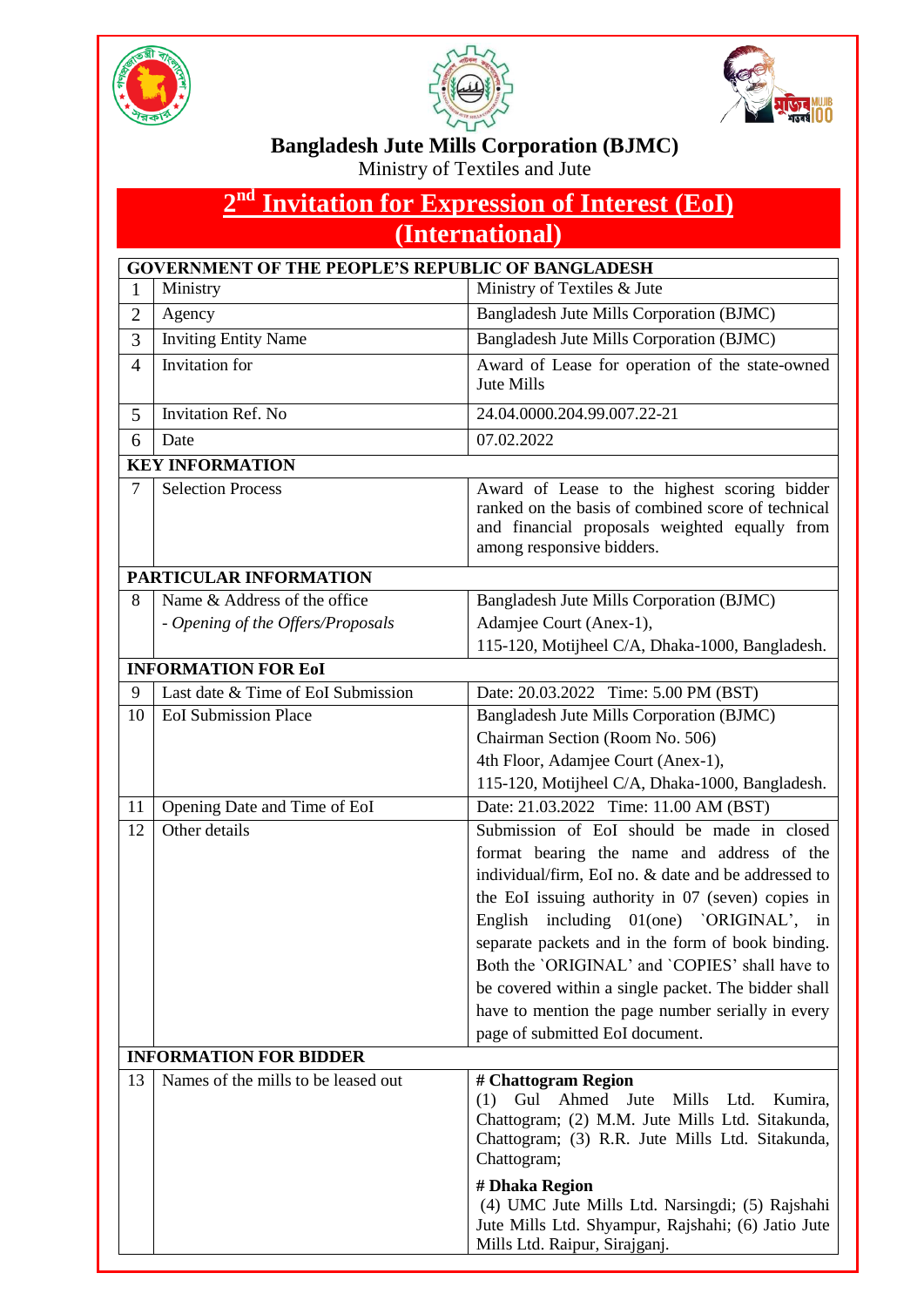





## **Bangladesh Jute Mills Corporation (BJMC)**

Ministry of Textiles and Jute

| 2 <sup>nd</sup> Invitation for Expression of Interest (EoI) |                                                                   |                                                                                                                                                                                                                                                                                                                                                                                                                                                                                                        |  |  |  |
|-------------------------------------------------------------|-------------------------------------------------------------------|--------------------------------------------------------------------------------------------------------------------------------------------------------------------------------------------------------------------------------------------------------------------------------------------------------------------------------------------------------------------------------------------------------------------------------------------------------------------------------------------------------|--|--|--|
| (International)                                             |                                                                   |                                                                                                                                                                                                                                                                                                                                                                                                                                                                                                        |  |  |  |
| <b>GOVERNMENT OF THE PEOPLE'S REPUBLIC OF BANGLADESH</b>    |                                                                   |                                                                                                                                                                                                                                                                                                                                                                                                                                                                                                        |  |  |  |
| 1                                                           | Ministry                                                          | Ministry of Textiles & Jute                                                                                                                                                                                                                                                                                                                                                                                                                                                                            |  |  |  |
| $\overline{2}$                                              | Agency                                                            | Bangladesh Jute Mills Corporation (BJMC)                                                                                                                                                                                                                                                                                                                                                                                                                                                               |  |  |  |
| 3                                                           | <b>Inviting Entity Name</b>                                       | Bangladesh Jute Mills Corporation (BJMC)                                                                                                                                                                                                                                                                                                                                                                                                                                                               |  |  |  |
| $\overline{4}$                                              | Invitation for                                                    | Award of Lease for operation of the state-owned<br>Jute Mills                                                                                                                                                                                                                                                                                                                                                                                                                                          |  |  |  |
| 5                                                           | <b>Invitation Ref. No</b>                                         | 24.04.0000.204.99.007.22-21                                                                                                                                                                                                                                                                                                                                                                                                                                                                            |  |  |  |
| 6                                                           | Date                                                              | 07.02.2022                                                                                                                                                                                                                                                                                                                                                                                                                                                                                             |  |  |  |
|                                                             | <b>KEY INFORMATION</b>                                            |                                                                                                                                                                                                                                                                                                                                                                                                                                                                                                        |  |  |  |
| 7                                                           | <b>Selection Process</b>                                          | Award of Lease to the highest scoring bidder<br>ranked on the basis of combined score of technical<br>and financial proposals weighted equally from<br>among responsive bidders.                                                                                                                                                                                                                                                                                                                       |  |  |  |
| PARTICULAR INFORMATION                                      |                                                                   |                                                                                                                                                                                                                                                                                                                                                                                                                                                                                                        |  |  |  |
| 8                                                           | Name & Address of the office<br>- Opening of the Offers/Proposals | Bangladesh Jute Mills Corporation (BJMC)<br>Adamjee Court (Anex-1),                                                                                                                                                                                                                                                                                                                                                                                                                                    |  |  |  |
|                                                             |                                                                   | 115-120, Motijheel C/A, Dhaka-1000, Bangladesh.                                                                                                                                                                                                                                                                                                                                                                                                                                                        |  |  |  |
|                                                             | <b>INFORMATION FOR EoI</b>                                        |                                                                                                                                                                                                                                                                                                                                                                                                                                                                                                        |  |  |  |
| 9                                                           | Last date & Time of EoI Submission                                | Date: 20.03.2022 Time: 5.00 PM (BST)                                                                                                                                                                                                                                                                                                                                                                                                                                                                   |  |  |  |
| 10                                                          | <b>EoI</b> Submission Place                                       | Bangladesh Jute Mills Corporation (BJMC)<br>Chairman Section (Room No. 506)<br>4th Floor, Adamjee Court (Anex-1),<br>115-120, Motijheel C/A, Dhaka-1000, Bangladesh.                                                                                                                                                                                                                                                                                                                                   |  |  |  |
| 11                                                          | Opening Date and Time of EoI                                      | Date: 21.03.2022 Time: 11.00 AM (BST)                                                                                                                                                                                                                                                                                                                                                                                                                                                                  |  |  |  |
| 12                                                          | Other details                                                     | Submission of EoI should be made in closed<br>format bearing the name and address of the<br>individual/firm, EoI no. & date and be addressed to<br>the EoI issuing authority in 07 (seven) copies in<br>English including 01(one) 'ORIGINAL', in<br>separate packets and in the form of book binding.<br>Both the `ORIGINAL` and `COPIES` shall have to<br>be covered within a single packet. The bidder shall<br>have to mention the page number serially in every<br>page of submitted EoI document. |  |  |  |
|                                                             | <b>INFORMATION FOR BIDDER</b>                                     |                                                                                                                                                                                                                                                                                                                                                                                                                                                                                                        |  |  |  |
| 13                                                          | Names of the mills to be leased out                               | # Chattogram Region<br>Gul Ahmed Jute Mills Ltd. Kumira,<br>(1)<br>Chattogram; (2) M.M. Jute Mills Ltd. Sitakunda,<br>Chattogram; (3) R.R. Jute Mills Ltd. Sitakunda,<br>Chattogram;                                                                                                                                                                                                                                                                                                                   |  |  |  |
|                                                             |                                                                   | # Dhaka Region<br>(4) UMC Jute Mills Ltd. Narsingdi; (5) Rajshahi<br>Jute Mills Ltd. Shyampur, Rajshahi; (6) Jatio Jute<br>Mills Ltd. Raipur, Sirajganj.                                                                                                                                                                                                                                                                                                                                               |  |  |  |